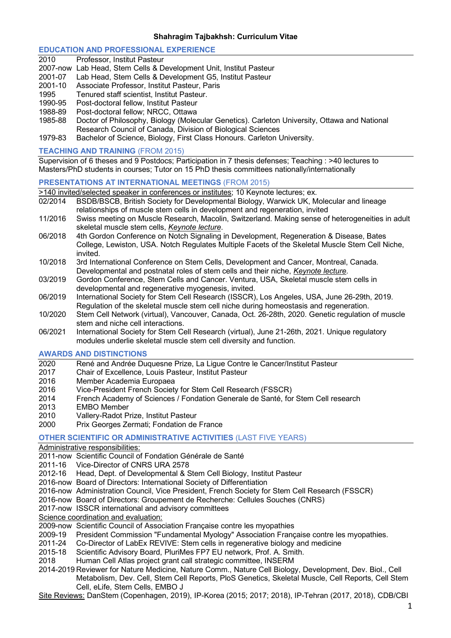## **EDUCATION AND PROFESSIONAL EXPERIENCE**

| 2010    | Professor, Institut Pasteur                                                                  |
|---------|----------------------------------------------------------------------------------------------|
|         | 2007-now Lab Head, Stem Cells & Development Unit, Institut Pasteur                           |
| 2001-07 | Lab Head, Stem Cells & Development G5, Institut Pasteur                                      |
| 2001-10 | Associate Professor, Institut Pasteur, Paris                                                 |
| 1995    | Tenured staff scientist, Institut Pasteur.                                                   |
| 1990-95 | Post-doctoral fellow, Institut Pasteur                                                       |
| 1988-89 | Post-doctoral fellow; NRCC, Ottawa                                                           |
| 1985-88 | Doctor of Philosophy, Biology (Molecular Genetics). Carleton University, Ottawa and National |
|         | Research Council of Canada, Division of Biological Sciences                                  |

1979-83 Bachelor of Science, Biology, First Class Honours. Carleton University.

### **TEACHING AND TRAINING** (FROM 2015)

Supervision of 6 theses and 9 Postdocs; Participation in 7 thesis defenses; Teaching : >40 lectures to Masters/PhD students in courses; Tutor on 15 PhD thesis committees nationally/internationally

## **PRESENTATIONS AT INTERNATIONAL MEETINGS** (FROM 2015)

- >140 invited/selected speaker in conferences or institutes; 10 Keynote lectures; ex.
- 02/2014 BSDB/BSCB, British Society for Developmental Biology, Warwick UK, Molecular and lineage relationships of muscle stem cells in development and regeneration, invited
- 11/2016 Swiss meeting on Muscle Research, Macolin, Switzerland. Making sense of heterogeneities in adult skeletal muscle stem cells, *Keynote lecture*.
- 06/2018 4th Gordon Conference on Notch Signaling in Development, Regeneration & Disease, Bates College, Lewiston, USA. Notch Regulates Multiple Facets of the Skeletal Muscle Stem Cell Niche, invited.
- 10/2018 3rd International Conference on Stem Cells, Development and Cancer, Montreal, Canada. Developmental and postnatal roles of stem cells and their niche, *Keynote lecture*.
- 03/2019 Gordon Conference, Stem Cells and Cancer. Ventura, USA, Skeletal muscle stem cells in developmental and regenerative myogenesis, invited.
- 06/2019 International Society for Stem Cell Research (ISSCR), Los Angeles, USA, June 26-29th, 2019. Regulation of the skeletal muscle stem cell niche during homeostasis and regeneration.
- 10/2020 Stem Cell Network (virtual), Vancouver, Canada, Oct. 26-28th, 2020. Genetic regulation of muscle stem and niche cell interactions.
- 06/2021 International Society for Stem Cell Research (virtual), June 21-26th, 2021. Unique regulatory modules underlie skeletal muscle stem cell diversity and function.

### **AWARDS AND DISTINCTIONS**

- 2020 René and Andrée Duquesne Prize, La Ligue Contre le Cancer/Institut Pasteur
- 2017 Chair of Excellence, Louis Pasteur, Institut Pasteur
- 2016 Member Academia Europaea
- 2016 Vice-President French Society for Stem Cell Research (FSSCR)
- 2014 French Academy of Sciences / Fondation Generale de Santé, for Stem Cell research
- 2013 EMBO Member
- 2010 Vallery-Radot Prize, Institut Pasteur
- 2000 Prix Georges Zermati; Fondation de France

# **OTHER SCIENTIFIC OR ADMINISTRATIVE ACTIVITIES** (LAST FIVE YEARS)

Administrative responsibilities:

2011-now Scientific Council of Fondation Générale de Santé

- 2011-16 Vice-Director of CNRS URA 2578
- 2012-16 Head, Dept. of Developmental & Stem Cell Biology, Institut Pasteur
- 2016-now Board of Directors: International Society of Differentiation
- 2016-now Administration Council, Vice President, French Society for Stem Cell Research (FSSCR)
- 2016-now Board of Directors: Groupement de Recherche: Cellules Souches (CNRS)
- 2017-now ISSCR international and advisory committees
- Science coordination and evaluation:
- 2009-now Scientific Council of Association Française contre les myopathies
- 2009-19 President Commission "Fundamental Myology" Association Française contre les myopathies.<br>2011-24 Co-Director of LabEx REVIVE: Stem cells in regenerative biology and medicine
- Co-Director of LabEx REVIVE: Stem cells in regenerative biology and medicine
- 2015-18 Scientific Advisory Board, PluriMes FP7 EU network, Prof. A. Smith.
- 2018 Human Cell Atlas project grant call strategic committee, INSERM
- 2014-2019 Reviewer for Nature Medicine, Nature Comm., Nature Cell Biology, Development, Dev. Biol., Cell Metabolism, Dev. Cell, Stem Cell Reports, PloS Genetics, Skeletal Muscle, Cell Reports, Cell Stem Cell, eLife, Stem Cells, EMBO J

Site Reviews: DanStem (Copenhagen, 2019), IP-Korea (2015; 2017; 2018), IP-Tehran (2017, 2018), CDB/CBI